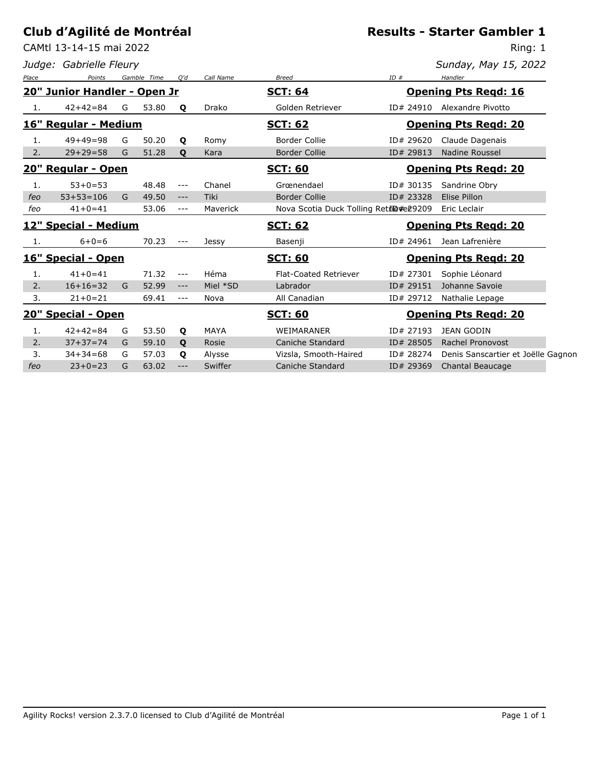CAMtl 13-14-15 mai 2022

*Judge: Gabrielle Fleury*

### **Results - Starter Gambler 1**

Ring: 1

| Place | Points                       |   | Gamble Time | O'd     | Call Name   | <b>Breed</b>                            | ID#       | Handler                            |  |
|-------|------------------------------|---|-------------|---------|-------------|-----------------------------------------|-----------|------------------------------------|--|
|       | 20" Junior Handler - Open Jr |   |             |         |             | <b>SCT: 64</b>                          |           | <b>Opening Pts Regd: 16</b>        |  |
| 1.    | $42+42=84$                   | G | 53.80       | Q       | Drako       | Golden Retriever                        | ID# 24910 | Alexandre Pivotto                  |  |
|       | 16" Regular - Medium         |   |             |         |             | <b>SCT: 62</b>                          |           | <b>Opening Pts Regd: 20</b>        |  |
| 1.    | $49+49=98$                   | G | 50.20       | Q       | Romy        | Border Collie                           | ID# 29620 | Claude Dagenais                    |  |
| 2.    | $29 + 29 = 58$               | G | 51.28       | Q       | Kara        | <b>Border Collie</b>                    | ID# 29813 | <b>Nadine Roussel</b>              |  |
|       | 20" Regular - Open           |   |             |         |             | <u>SCT: 60</u>                          |           | <b>Opening Pts Regd: 20</b>        |  |
| 1.    | $53 + 0 = 53$                |   | 48.48       | $---$   | Chanel      | Grœnendael                              | ID# 30135 | Sandrine Obry                      |  |
| feo   | $53 + 53 = 106$              | G | 49.50       | $---$   | Tiki        | <b>Border Collie</b>                    | ID# 23328 | Elise Pillon                       |  |
| feo   | $41 + 0 = 41$                |   | 53.06       | $---$   | Maverick    | Nova Scotia Duck Tolling Retile #e29209 |           | Eric Leclair                       |  |
|       | 12" Special - Medium         |   |             |         |             | <b>SCT: 62</b>                          |           | <b>Opening Pts Regd: 20</b>        |  |
| -1.   | $6 + 0 = 6$                  |   | 70.23       | $- - -$ | Jessy       | Basenji                                 | ID# 24961 | Jean Lafrenière                    |  |
|       | 16" Special - Open           |   |             |         |             | <b>SCT: 60</b>                          |           | <b>Opening Pts Regd: 20</b>        |  |
| 1.    | $41 + 0 = 41$                |   | 71.32       | $---$   | Héma        | <b>Flat-Coated Retriever</b>            | ID# 27301 | Sophie Léonard                     |  |
| 2.    | $16+16=32$                   | G | 52.99       | $---$   | Miel *SD    | Labrador                                | ID# 29151 | Johanne Savoie                     |  |
| 3.    | $21+0=21$                    |   | 69.41       | $---$   | Nova        | All Canadian                            | ID# 29712 | Nathalie Lepage                    |  |
|       | 20" Special - Open           |   |             |         |             | <b>SCT: 60</b>                          |           | <b>Opening Pts Regd: 20</b>        |  |
| 1.    | $42+42=84$                   | G | 53.50       | Q       | <b>MAYA</b> | WEIMARANER                              | ID# 27193 | <b>JEAN GODIN</b>                  |  |
| 2.    | $37 + 37 = 74$               | G | 59.10       | Q       | Rosie       | Caniche Standard                        | ID# 28505 | Rachel Pronovost                   |  |
| 3.    | $34 + 34 = 68$               | G | 57.03       | Q       | Alysse      | Vizsla, Smooth-Haired                   | ID# 28274 | Denis Sanscartier et Joëlle Gagnon |  |
| feo   | $23+0=23$                    | G | 63.02       | $---$   | Swiffer     | Caniche Standard                        | ID# 29369 | Chantal Beaucage                   |  |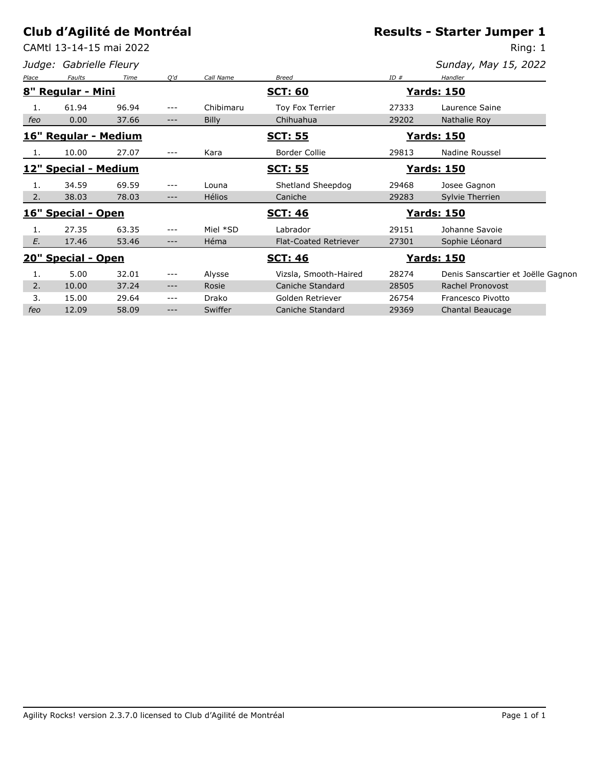CAMtl 13-14-15 mai 2022

*Judge: Gabrielle Fleury*

# **Results - Starter Jumper 1**

Ring: 1

| Place | Faults                | Time  | O'd   | Call Name     | Breed                        | ID#   | Handler                            |  |
|-------|-----------------------|-------|-------|---------------|------------------------------|-------|------------------------------------|--|
| 8"    | <b>Regular - Mini</b> |       |       |               | <b>SCT: 60</b>               |       | <b>Yards: 150</b>                  |  |
| 1.    | 61.94                 | 96.94 | ---   | Chibimaru     | Toy Fox Terrier              | 27333 | Laurence Saine                     |  |
| feo   | 0.00                  | 37.66 | ---   | <b>Billy</b>  | Chihuahua                    | 29202 | Nathalie Roy                       |  |
|       | 16" Regular - Medium  |       |       |               | <b>SCT: 55</b>               |       | <u> Yards: 150</u>                 |  |
| -1.   | 10.00                 | 27.07 | ---   | Kara          | <b>Border Collie</b>         | 29813 | Nadine Roussel                     |  |
|       | 12" Special - Medium  |       |       |               | <u>SCT: 55</u>               |       | <b>Yards: 150</b>                  |  |
| 1.    | 34.59                 | 69.59 | ---   | Louna         | Shetland Sheepdog            | 29468 | Josee Gagnon                       |  |
| 2.    | 38.03                 | 78.03 | ---   | <b>Hélios</b> | Caniche                      | 29283 | Sylvie Therrien                    |  |
|       | 16" Special - Open    |       |       |               | <b>SCT: 46</b>               |       | Yards: 150                         |  |
| 1.    | 27.35                 | 63.35 | ---   | Miel *SD      | Labrador                     | 29151 | Johanne Savoie                     |  |
| E.    | 17.46                 | 53.46 | ---   | Héma          | <b>Flat-Coated Retriever</b> | 27301 | Sophie Léonard                     |  |
|       | 20" Special - Open    |       |       |               | <u>SCT: 46</u>               |       | <u> Yards: 150</u>                 |  |
| 1.    | 5.00                  | 32.01 | $---$ | Alysse        | Vizsla, Smooth-Haired        | 28274 | Denis Sanscartier et Joëlle Gagnon |  |
| 2.    | 10.00                 | 37.24 | $---$ | Rosie         | Caniche Standard             | 28505 | Rachel Pronovost                   |  |
| 3.    | 15.00                 | 29.64 | $---$ | Drako         | Golden Retriever             | 26754 | Francesco Pivotto                  |  |
| feo   | 12.09                 | 58.09 | ---   | Swiffer       | Caniche Standard             | 29369 | Chantal Beaucage                   |  |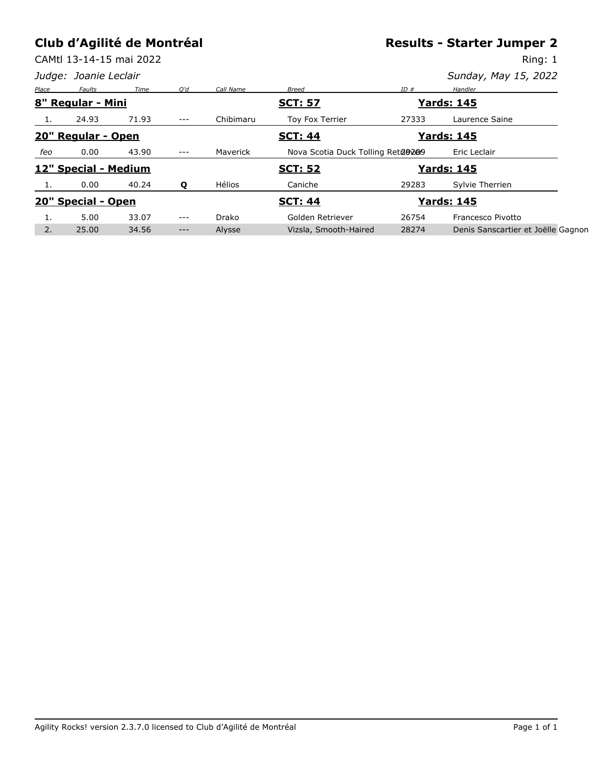CAMtl 13-14-15 mai 2022

**Results - Starter Jumper 2**

|       |                       | CAMtl 13-14-15 mai 2022 |         |               |                                   |       | Ring: 1                            |
|-------|-----------------------|-------------------------|---------|---------------|-----------------------------------|-------|------------------------------------|
|       | Judge: Joanie Leclair |                         |         |               |                                   |       | Sunday, May 15, 2022               |
| Place | Faults                | Time                    | O'd     | Call Name     | <b>Breed</b>                      | ID#   | Handler                            |
|       | 8" Regular - Mini     |                         |         |               | <b>SCT: 57</b>                    |       | <b>Yards: 145</b>                  |
| -1.   | 24.93                 | 71.93                   | $- - -$ | Chibimaru     | Toy Fox Terrier                   | 27333 | Laurence Saine                     |
|       | 20" Regular - Open    |                         |         |               | <b>SCT: 44</b>                    |       | <b>Yards: 145</b>                  |
| feo   | 0.00                  | 43.90                   | $- - -$ | Maverick      | Nova Scotia Duck Tolling Reta@209 |       | Eric Leclair                       |
|       | 12" Special - Medium  |                         |         |               | <b>SCT: 52</b>                    |       | <u> Yards: 145</u>                 |
|       | 0.00                  | 40.24                   | Q       | <b>Hélios</b> | Caniche                           | 29283 | Sylvie Therrien                    |
|       | 20" Special - Open    |                         |         |               | <b>SCT: 44</b>                    |       | <b>Yards: 145</b>                  |
| 1.    | 5.00                  | 33.07                   | $---$   | Drako         | Golden Retriever                  | 26754 | Francesco Pivotto                  |
| 2.    | 25.00                 | 34.56                   | $---$   | Alysse        | Vizsla, Smooth-Haired             | 28274 | Denis Sanscartier et Joëlle Gagnon |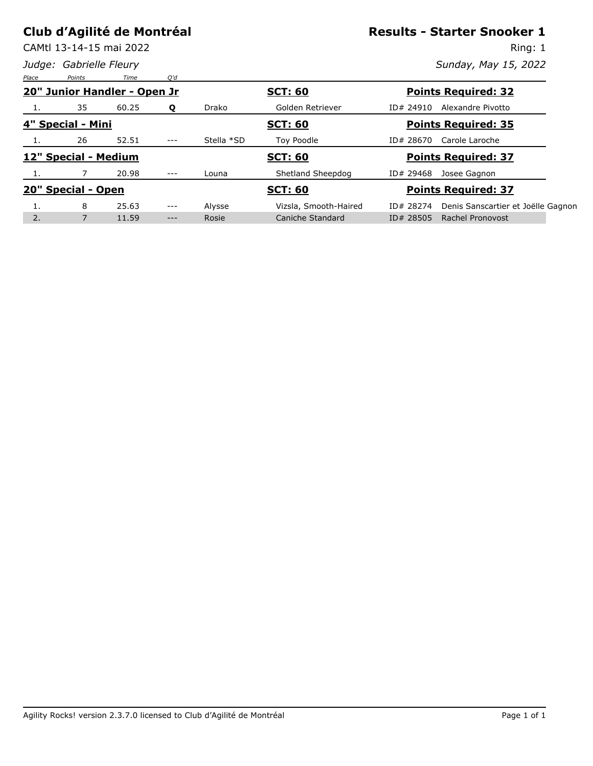CAMtl 13-14-15 mai 2022

*Judge: Gabrielle Fleury*

#### **Results - Starter Snooker 1**

Ring: 1

| Place | Points               | Time                         | O'd     |            |                       |           |                                    |
|-------|----------------------|------------------------------|---------|------------|-----------------------|-----------|------------------------------------|
|       |                      | 20" Junior Handler - Open Jr |         |            | <b>SCT: 60</b>        |           | <b>Points Required: 32</b>         |
| 1.    | 35                   | 60.25                        | Q       | Drako      | Golden Retriever      | ID# 24910 | Alexandre Pivotto                  |
|       | 4" Special - Mini    |                              |         |            | <b>SCT: 60</b>        |           | <b>Points Required: 35</b>         |
| 1.    | 26                   | 52.51                        | $---$   | Stella *SD | Toy Poodle            | ID# 28670 | Carole Laroche                     |
|       | 12" Special - Medium |                              |         |            | <b>SCT: 60</b>        |           | <b>Points Required: 37</b>         |
|       |                      | 20.98                        | $---$   | Louna      | Shetland Sheepdog     | ID# 29468 | Josee Gagnon                       |
|       | 20" Special - Open   |                              |         |            | <b>SCT: 60</b>        |           | <b>Points Required: 37</b>         |
| ⊥.    | 8                    | 25.63                        | $- - -$ | Alysse     | Vizsla, Smooth-Haired | ID# 28274 | Denis Sanscartier et Joëlle Gagnon |
| 2.    | 7                    | 11.59                        | ---     | Rosie      | Caniche Standard      | ID# 28505 | <b>Rachel Pronovost</b>            |
|       |                      |                              |         |            |                       |           |                                    |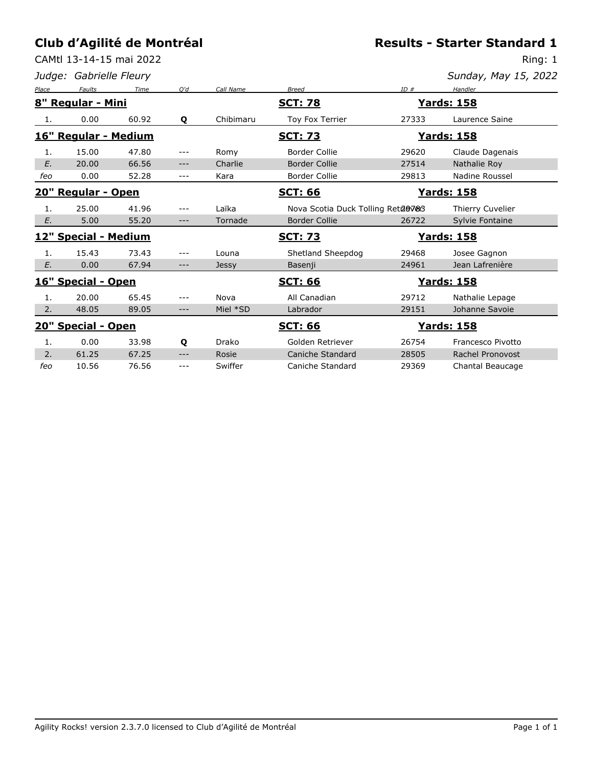CAMtl 13-14-15 mai 2022

*Judge: Gabrielle Fleury*

**Results - Starter Standard 1**

Ring: 1

| Sunday, May 15, 2022 |  |  |
|----------------------|--|--|

|       |                            |       | O'd   | Call Name |                                     | ID#   |                    |
|-------|----------------------------|-------|-------|-----------|-------------------------------------|-------|--------------------|
| Place | Faults                     | Time  |       |           | <b>Breed</b>                        |       | Handler            |
|       | 8" Regular - Mini          |       |       |           | <u>SCT: 78</u>                      |       | <u> Yards: 158</u> |
| 1.    | 0.00                       | 60.92 | Q     | Chibimaru | Toy Fox Terrier                     | 27333 | Laurence Saine     |
|       | 16" Regular - Medium       |       |       |           | <b>SCT: 73</b>                      |       | <u> Yards: 158</u> |
| 1.    | 15.00                      | 47.80 | ---   | Romy      | <b>Border Collie</b>                | 29620 | Claude Dagenais    |
| E.    | 20.00                      | 66.56 | $---$ | Charlie   | <b>Border Collie</b>                | 27514 | Nathalie Roy       |
| feo   | 0.00                       | 52.28 | $---$ | Kara      | <b>Border Collie</b>                | 29813 | Nadine Roussel     |
|       | 20" Regular - Open         |       |       |           | <b>SCT: 66</b>                      |       | <u>Yards: 158</u>  |
| 1.    | 25.00                      | 41.96 | $---$ | Laïka     | Nova Scotia Duck Tolling Retule 783 |       | Thierry Cuvelier   |
| E.    | 5.00                       | 55.20 | $---$ | Tornade   | <b>Border Collie</b>                | 26722 | Sylvie Fontaine    |
|       |                            |       |       |           |                                     |       |                    |
|       | 12" Special - Medium       |       |       |           | <b>SCT: 73</b>                      |       | <b>Yards: 158</b>  |
| 1.    | 15.43                      | 73.43 | ---   | Louna     | Shetland Sheepdog                   | 29468 | Josee Gagnon       |
| E.    | 0.00                       | 67.94 | $---$ | Jessy     | Basenji                             | 24961 | Jean Lafrenière    |
|       | <u> 16" Special - Open</u> |       |       |           | <b>SCT: 66</b>                      |       | <b>Yards: 158</b>  |
| 1.    | 20.00                      | 65.45 | ---   | Nova      | All Canadian                        | 29712 | Nathalie Lepage    |
| 2.    | 48.05                      | 89.05 | ---   | Miel *SD  | Labrador                            | 29151 | Johanne Savoie     |
|       | <b>20" Special - Open</b>  |       |       |           | <u>SCT: 66</u>                      |       | <u>Yards: 158</u>  |
| 1.    | 0.00                       | 33.98 | Q     | Drako     | Golden Retriever                    | 26754 | Francesco Pivotto  |
| 2.    | 61.25                      | 67.25 | $---$ | Rosie     | Caniche Standard                    | 28505 | Rachel Pronovost   |